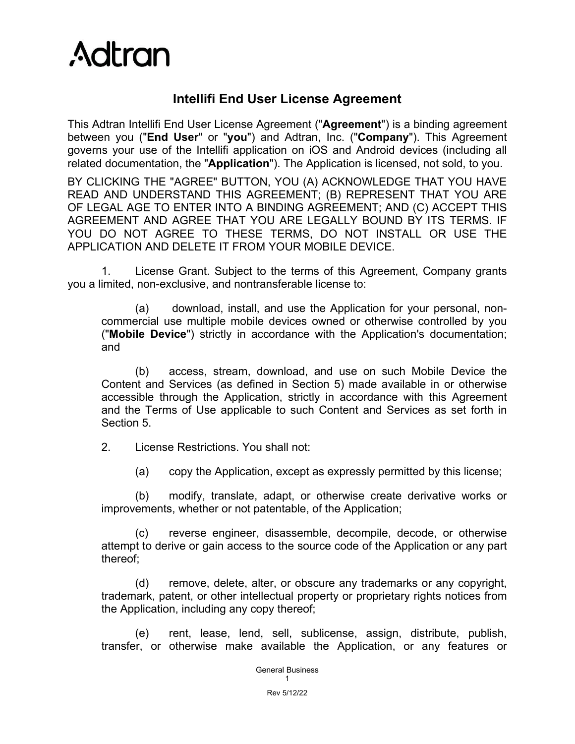

## **Intellifi End User License Agreement**

This Adtran Intellifi End User License Agreement ("**Agreement**") is a binding agreement between you ("**End User**" or "**you**") and Adtran, Inc. ("**Company**"). This Agreement governs your use of the Intellifi application on iOS and Android devices (including all related documentation, the "**Application**"). The Application is licensed, not sold, to you.

BY CLICKING THE "AGREE" BUTTON, YOU (A) ACKNOWLEDGE THAT YOU HAVE READ AND UNDERSTAND THIS AGREEMENT; (B) REPRESENT THAT YOU ARE OF LEGAL AGE TO ENTER INTO A BINDING AGREEMENT; AND (C) ACCEPT THIS AGREEMENT AND AGREE THAT YOU ARE LEGALLY BOUND BY ITS TERMS. IF YOU DO NOT AGREE TO THESE TERMS, DO NOT INSTALL OR USE THE APPLICATION AND DELETE IT FROM YOUR MOBILE DEVICE.

1. License Grant. Subject to the terms of this Agreement, Company grants you a limited, non-exclusive, and nontransferable license to:

(a) download, install, and use the Application for your personal, noncommercial use multiple mobile devices owned or otherwise controlled by you ("**Mobile Device**") strictly in accordance with the Application's documentation; and

(b) access, stream, download, and use on such Mobile Device the Content and Services (as defined in [Section 5\)](#page-1-0) made available in or otherwise accessible through the Application, strictly in accordance with this Agreement and the Terms of Use applicable to such Content and Services as set forth in [Section 5.](#page-1-0)

2. License Restrictions. You shall not:

(a) copy the Application, except as expressly permitted by this license;

(b) modify, translate, adapt, or otherwise create derivative works or improvements, whether or not patentable, of the Application;

(c) reverse engineer, disassemble, decompile, decode, or otherwise attempt to derive or gain access to the source code of the Application or any part thereof;

(d) remove, delete, alter, or obscure any trademarks or any copyright, trademark, patent, or other intellectual property or proprietary rights notices from the Application, including any copy thereof;

(e) rent, lease, lend, sell, sublicense, assign, distribute, publish, transfer, or otherwise make available the Application, or any features or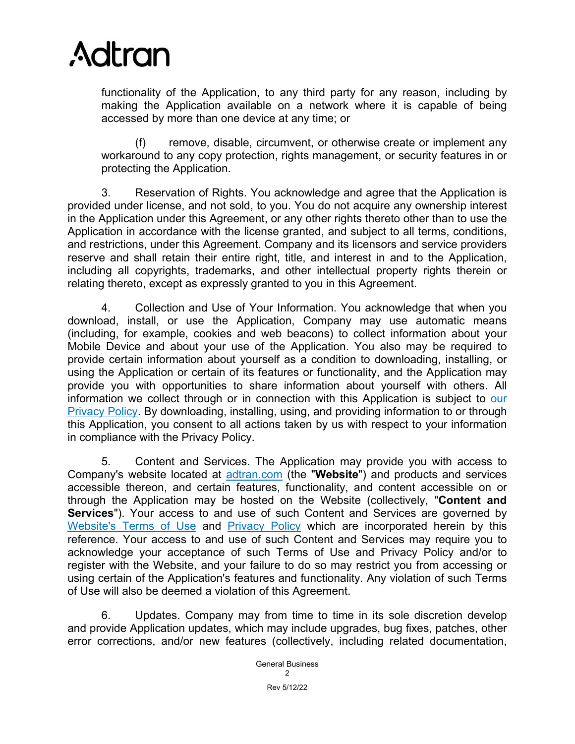

functionality of the Application, to any third party for any reason, including by making the Application available on a network where it is capable of being accessed by more than one device at any time; or

(f) remove, disable, circumvent, or otherwise create or implement any workaround to any copy protection, rights management, or security features in or protecting the Application.

3. Reservation of Rights. You acknowledge and agree that the Application is provided under license, and not sold, to you. You do not acquire any ownership interest in the Application under this Agreement, or any other rights thereto other than to use the Application in accordance with the license granted, and subject to all terms, conditions, and restrictions, under this Agreement. Company and its licensors and service providers reserve and shall retain their entire right, title, and interest in and to the Application, including all copyrights, trademarks, and other intellectual property rights therein or relating thereto, except as expressly granted to you in this Agreement.

4. Collection and Use of Your Information. You acknowledge that when you download, install, or use the Application, Company may use automatic means (including, for example, cookies and web beacons) to collect information about your Mobile Device and about your use of the Application. You also may be required to provide certain information about yourself as a condition to downloading, installing, or using the Application or certain of its features or functionality, and the Application may provide you with opportunities to share information about yourself with others. All information we collect through or in connection with this Application is subject to [our](https://www.adtran.com/intellifi_privacy_policy)  [Privacy Policy.](https://www.adtran.com/intellifi_privacy_policy) By downloading, installing, using, and providing information to or through this Application, you consent to all actions taken by us with respect to your information in compliance with the Privacy Policy.

<span id="page-1-0"></span>5. Content and Services. The Application may provide you with access to Company's website located at [adtran.com](https://www.adtran.com/) (the "**Website**") and products and services accessible thereon, and certain features, functionality, and content accessible on or through the Application may be hosted on the Website (collectively, "**Content and Services**"). Your access to and use of such Content and Services are governed by [Website's Terms of Use](https://www.adtran.com/website-terms-of-use) and [Privacy Policy](https://www.adtran.com/privacy-policy) which are incorporated herein by this reference. Your access to and use of such Content and Services may require you to acknowledge your acceptance of such Terms of Use and Privacy Policy and/or to register with the Website, and your failure to do so may restrict you from accessing or using certain of the Application's features and functionality. Any violation of such Terms of Use will also be deemed a violation of this Agreement.

6. Updates. Company may from time to time in its sole discretion develop and provide Application updates, which may include upgrades, bug fixes, patches, other error corrections, and/or new features (collectively, including related documentation,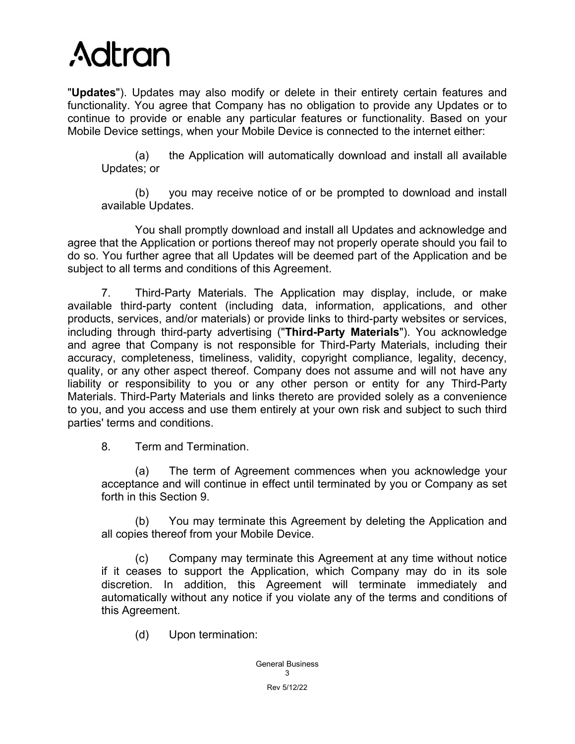

"**Updates**"). Updates may also modify or delete in their entirety certain features and functionality. You agree that Company has no obligation to provide any Updates or to continue to provide or enable any particular features or functionality. Based on your Mobile Device settings, when your Mobile Device is connected to the internet either:

(a) the Application will automatically download and install all available Updates; or

(b) you may receive notice of or be prompted to download and install available Updates.

You shall promptly download and install all Updates and acknowledge and agree that the Application or portions thereof may not properly operate should you fail to do so. You further agree that all Updates will be deemed part of the Application and be subject to all terms and conditions of this Agreement.

7. Third-Party Materials. The Application may display, include, or make available third-party content (including data, information, applications, and other products, services, and/or materials) or provide links to third-party websites or services, including through third-party advertising ("**Third-Party Materials**"). You acknowledge and agree that Company is not responsible for Third-Party Materials, including their accuracy, completeness, timeliness, validity, copyright compliance, legality, decency, quality, or any other aspect thereof. Company does not assume and will not have any liability or responsibility to you or any other person or entity for any Third-Party Materials. Third-Party Materials and links thereto are provided solely as a convenience to you, and you access and use them entirely at your own risk and subject to such third parties' terms and conditions.

<span id="page-2-0"></span>8. Term and Termination.

(a) The term of Agreement commences when you acknowledge your acceptance and will continue in effect until terminated by you or Company as set forth in this [Section 9.](#page-2-0)

(b) You may terminate this Agreement by deleting the Application and all copies thereof from your Mobile Device.

(c) Company may terminate this Agreement at any time without notice if it ceases to support the Application, which Company may do in its sole discretion. In addition, this Agreement will terminate immediately and automatically without any notice if you violate any of the terms and conditions of this Agreement.

(d) Upon termination: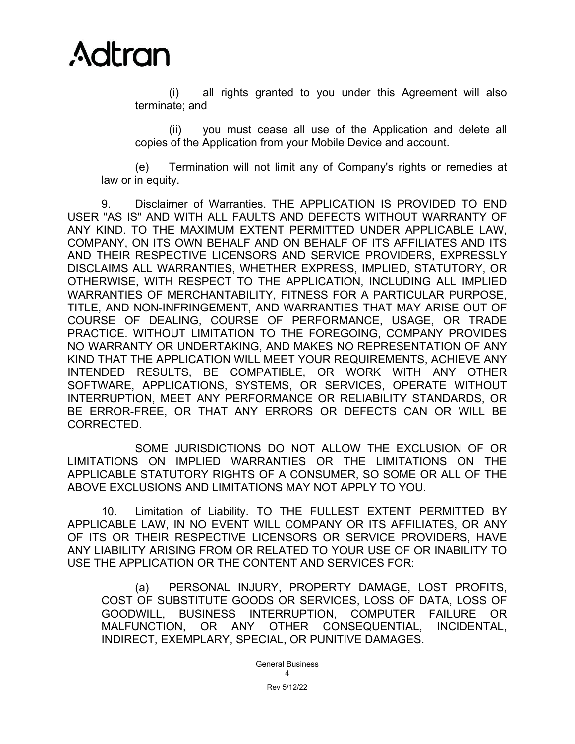

(i) all rights granted to you under this Agreement will also terminate; and

(ii) you must cease all use of the Application and delete all copies of the Application from your Mobile Device and account.

(e) Termination will not limit any of Company's rights or remedies at law or in equity.

9. Disclaimer of Warranties. THE APPLICATION IS PROVIDED TO END USER "AS IS" AND WITH ALL FAULTS AND DEFECTS WITHOUT WARRANTY OF ANY KIND. TO THE MAXIMUM EXTENT PERMITTED UNDER APPLICABLE LAW, COMPANY, ON ITS OWN BEHALF AND ON BEHALF OF ITS AFFILIATES AND ITS AND THEIR RESPECTIVE LICENSORS AND SERVICE PROVIDERS, EXPRESSLY DISCLAIMS ALL WARRANTIES, WHETHER EXPRESS, IMPLIED, STATUTORY, OR OTHERWISE, WITH RESPECT TO THE APPLICATION, INCLUDING ALL IMPLIED WARRANTIES OF MERCHANTABILITY, FITNESS FOR A PARTICULAR PURPOSE, TITLE, AND NON-INFRINGEMENT, AND WARRANTIES THAT MAY ARISE OUT OF COURSE OF DEALING, COURSE OF PERFORMANCE, USAGE, OR TRADE PRACTICE. WITHOUT LIMITATION TO THE FOREGOING, COMPANY PROVIDES NO WARRANTY OR UNDERTAKING, AND MAKES NO REPRESENTATION OF ANY KIND THAT THE APPLICATION WILL MEET YOUR REQUIREMENTS, ACHIEVE ANY INTENDED RESULTS, BE COMPATIBLE, OR WORK WITH ANY OTHER SOFTWARE, APPLICATIONS, SYSTEMS, OR SERVICES, OPERATE WITHOUT INTERRUPTION, MEET ANY PERFORMANCE OR RELIABILITY STANDARDS, OR BE ERROR-FREE, OR THAT ANY ERRORS OR DEFECTS CAN OR WILL BE CORRECTED.

SOME JURISDICTIONS DO NOT ALLOW THE EXCLUSION OF OR LIMITATIONS ON IMPLIED WARRANTIES OR THE LIMITATIONS ON THE APPLICABLE STATUTORY RIGHTS OF A CONSUMER, SO SOME OR ALL OF THE ABOVE EXCLUSIONS AND LIMITATIONS MAY NOT APPLY TO YOU.

10. Limitation of Liability. TO THE FULLEST EXTENT PERMITTED BY APPLICABLE LAW, IN NO EVENT WILL COMPANY OR ITS AFFILIATES, OR ANY OF ITS OR THEIR RESPECTIVE LICENSORS OR SERVICE PROVIDERS, HAVE ANY LIABILITY ARISING FROM OR RELATED TO YOUR USE OF OR INABILITY TO USE THE APPLICATION OR THE CONTENT AND SERVICES FOR:

(a) PERSONAL INJURY, PROPERTY DAMAGE, LOST PROFITS, COST OF SUBSTITUTE GOODS OR SERVICES, LOSS OF DATA, LOSS OF GOODWILL, BUSINESS INTERRUPTION, COMPUTER FAILURE OR MALFUNCTION, OR ANY OTHER CONSEQUENTIAL, INCIDENTAL, INDIRECT, EXEMPLARY, SPECIAL, OR PUNITIVE DAMAGES.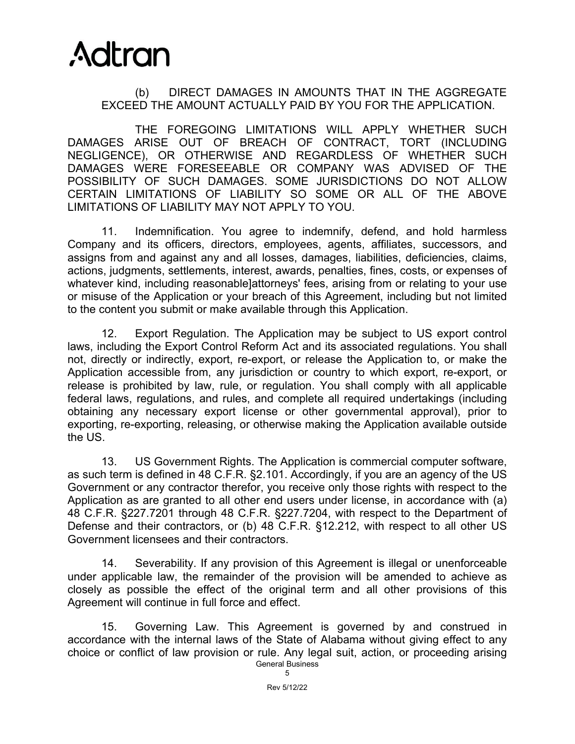## **Adtran**

## (b) DIRECT DAMAGES IN AMOUNTS THAT IN THE AGGREGATE EXCEED THE AMOUNT ACTUALLY PAID BY YOU FOR THE APPLICATION.

THE FOREGOING LIMITATIONS WILL APPLY WHETHER SUCH DAMAGES ARISE OUT OF BREACH OF CONTRACT, TORT (INCLUDING NEGLIGENCE), OR OTHERWISE AND REGARDLESS OF WHETHER SUCH DAMAGES WERE FORESEEABLE OR COMPANY WAS ADVISED OF THE POSSIBILITY OF SUCH DAMAGES. SOME JURISDICTIONS DO NOT ALLOW CERTAIN LIMITATIONS OF LIABILITY SO SOME OR ALL OF THE ABOVE LIMITATIONS OF LIABILITY MAY NOT APPLY TO YOU.

11. Indemnification. You agree to indemnify, defend, and hold harmless Company and its officers, directors, employees, agents, affiliates, successors, and assigns from and against any and all losses, damages, liabilities, deficiencies, claims, actions, judgments, settlements, interest, awards, penalties, fines, costs, or expenses of whatever kind, including reasonable]attorneys' fees, arising from or relating to your use or misuse of the Application or your breach of this Agreement, including but not limited to the content you submit or make available through this Application.

12. Export Regulation. The Application may be subject to US export control laws, including the Export Control Reform Act and its associated regulations. You shall not, directly or indirectly, export, re-export, or release the Application to, or make the Application accessible from, any jurisdiction or country to which export, re-export, or release is prohibited by law, rule, or regulation. You shall comply with all applicable federal laws, regulations, and rules, and complete all required undertakings (including obtaining any necessary export license or other governmental approval), prior to exporting, re-exporting, releasing, or otherwise making the Application available outside the US.

13. US Government Rights. The Application is commercial computer software, as such term is defined in 48 C.F.R. §2.101. Accordingly, if you are an agency of the US Government or any contractor therefor, you receive only those rights with respect to the Application as are granted to all other end users under license, in accordance with (a) 48 C.F.R. §227.7201 through 48 C.F.R. §227.7204, with respect to the Department of Defense and their contractors, or (b) 48 C.F.R. §12.212, with respect to all other US Government licensees and their contractors.

14. Severability. If any provision of this Agreement is illegal or unenforceable under applicable law, the remainder of the provision will be amended to achieve as closely as possible the effect of the original term and all other provisions of this Agreement will continue in full force and effect.

General Business 15. Governing Law. This Agreement is governed by and construed in accordance with the internal laws of the State of Alabama without giving effect to any choice or conflict of law provision or rule. Any legal suit, action, or proceeding arising